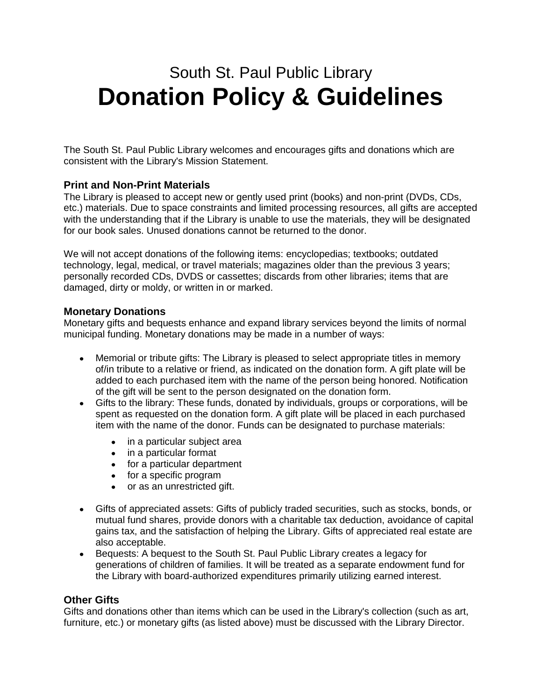# South St. Paul Public Library **Donation Policy & Guidelines**

The South St. Paul Public Library welcomes and encourages gifts and donations which are consistent with the Library's Mission Statement.

## **Print and Non-Print Materials**

The Library is pleased to accept new or gently used print (books) and non-print (DVDs, CDs, etc.) materials. Due to space constraints and limited processing resources, all gifts are accepted with the understanding that if the Library is unable to use the materials, they will be designated for our book sales. Unused donations cannot be returned to the donor.

We will not accept donations of the following items: encyclopedias; textbooks; outdated technology, legal, medical, or travel materials; magazines older than the previous 3 years; personally recorded CDs, DVDS or cassettes; discards from other libraries; items that are damaged, dirty or moldy, or written in or marked.

### **Monetary Donations**

Monetary gifts and bequests enhance and expand library services beyond the limits of normal municipal funding. Monetary donations may be made in a number of ways:

- Memorial or tribute gifts: The Library is pleased to select appropriate titles in memory of/in tribute to a relative or friend, as indicated on the donation form. A gift plate will be added to each purchased item with the name of the person being honored. Notification of the gift will be sent to the person designated on the donation form.
- Gifts to the library: These funds, donated by individuals, groups or corporations, will be spent as requested on the donation form. A gift plate will be placed in each purchased item with the name of the donor. Funds can be designated to purchase materials:
	- in a particular subject area
	- in a particular format
	- for a particular department
	- for a specific program
	- or as an unrestricted gift.
- Gifts of appreciated assets: Gifts of publicly traded securities, such as stocks, bonds, or mutual fund shares, provide donors with a charitable tax deduction, avoidance of capital gains tax, and the satisfaction of helping the Library. Gifts of appreciated real estate are also acceptable.
- Bequests: A bequest to the South St. Paul Public Library creates a legacy for generations of children of families. It will be treated as a separate endowment fund for the Library with board-authorized expenditures primarily utilizing earned interest.

#### **Other Gifts**

Gifts and donations other than items which can be used in the Library's collection (such as art, furniture, etc.) or monetary gifts (as listed above) must be discussed with the Library Director.